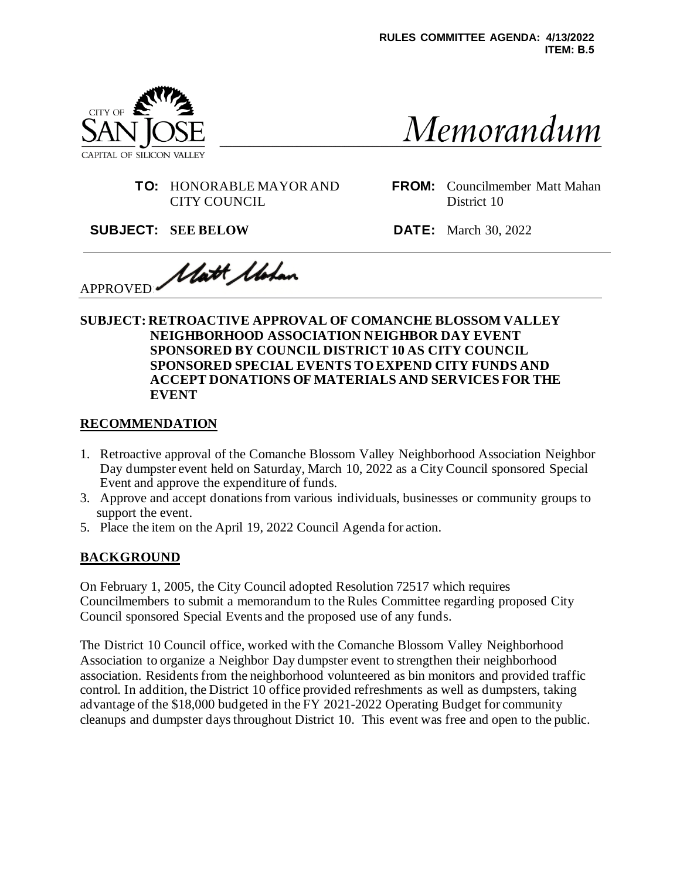

Memorandum

**TO:** HONORABLE MAYOR AND CITY COUNCIL

**FROM:** Councilmember Matt Mahan District 10

**SUBJECT: SEE BELOW DATE:** March 30, 2022

Watt *Ubban* APPROVED:

#### **SUBJECT: RETROACTIVE APPROVAL OF COMANCHE BLOSSOM VALLEY NEIGHBORHOOD ASSOCIATION NEIGHBOR DAY EVENT SPONSORED BY COUNCIL DISTRICT 10 AS CITY COUNCIL SPONSORED SPECIAL EVENTS TO EXPEND CITY FUNDS AND ACCEPT DONATIONS OF MATERIALS AND SERVICES FOR THE EVENT**

#### **RECOMMENDATION**

- 1. Retroactive approval of the Comanche Blossom Valley Neighborhood Association Neighbor Day dumpster event held on Saturday, March 10, 2022 as a City Council sponsored Special Event and approve the expenditure of funds.
- 3. Approve and accept donations from various individuals, businesses or community groups to support the event.
- 5. Place the item on the April 19, 2022 Council Agenda for action.

### **BACKGROUND**

On February 1, 2005, the City Council adopted Resolution 72517 which requires Councilmembers to submit a memorandum to the Rules Committee regarding proposed City Council sponsored Special Events and the proposed use of any funds.

The District 10 Council office, worked with the Comanche Blossom Valley Neighborhood Association to organize a Neighbor Day dumpster event to strengthen their neighborhood association. Residentsfrom the neighborhood volunteered as bin monitors and provided traffic control. In addition, the District 10 office provided refreshments as well as dumpsters, taking advantage of the \$18,000 budgeted in the FY 2021-2022 Operating Budget for community cleanups and dumpster days throughout District 10. This event was free and open to the public.